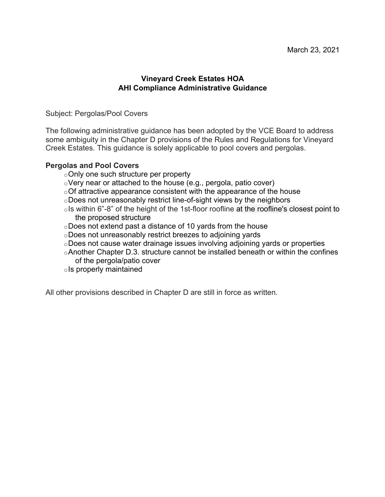## **Vineyard Creek Estates HOA AHI Compliance Administrative Guidance**

Subject: Pergolas/Pool Covers

The following administrative guidance has been adopted by the VCE Board to address some ambiguity in the Chapter D provisions of the Rules and Regulations for Vineyard Creek Estates. This guidance is solely applicable to pool covers and pergolas.

## **Pergolas and Pool Covers**

- oOnly one such structure per property
- oVery near or attached to the house (e.g., pergola, patio cover)
- $\circ$ Of attractive appearance consistent with the appearance of the house
- oDoes not unreasonably restrict line-of-sight views by the neighbors
- ols within 6"-8" of the height of the 1st-floor roofline at the roofline's closest point to the proposed structure
- oDoes not extend past a distance of 10 yards from the house
- oDoes not unreasonably restrict breezes to adjoining yards
- oDoes not cause water drainage issues involving adjoining yards or properties
- oAnother Chapter D.3. structure cannot be installed beneath or within the confines of the pergola/patio cover
- oIs properly maintained

All other provisions described in Chapter D are still in force as written.